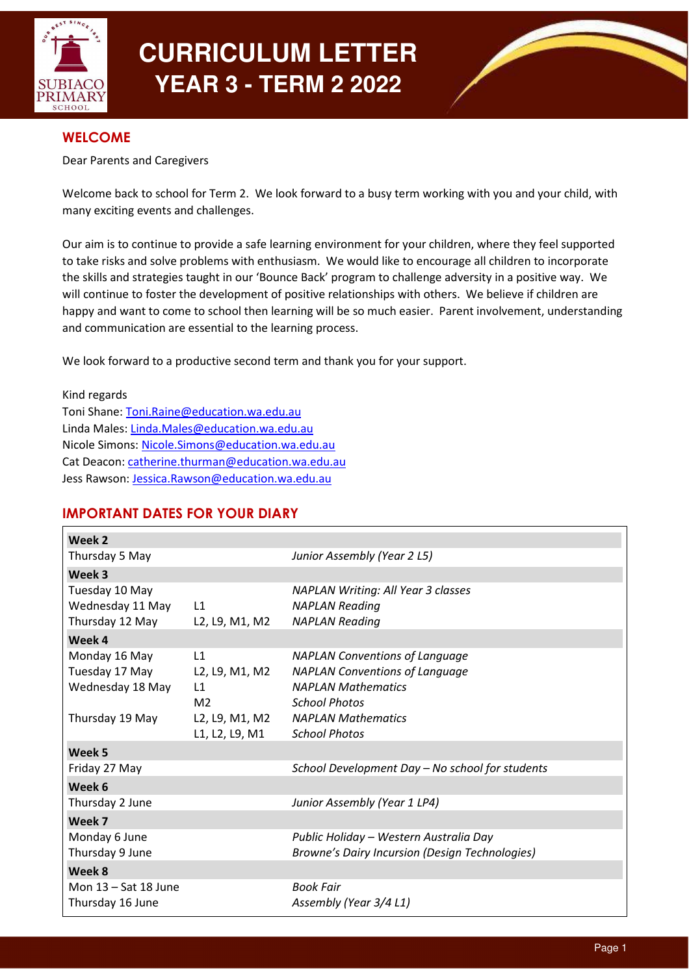

# **CURRICULUM LETTER YEAR 3 - TERM 2 2022**



# **WELCOME**

Dear Parents and Caregivers

Welcome back to school for Term 2. We look forward to a busy term working with you and your child, with many exciting events and challenges.

Our aim is to continue to provide a safe learning environment for your children, where they feel supported to take risks and solve problems with enthusiasm. We would like to encourage all children to incorporate the skills and strategies taught in our 'Bounce Back' program to challenge adversity in a positive way. We will continue to foster the development of positive relationships with others. We believe if children are happy and want to come to school then learning will be so much easier. Parent involvement, understanding and communication are essential to the learning process.

We look forward to a productive second term and thank you for your support.

Kind regards Toni Shane: Toni.Raine@education.wa.edu.au Linda Males: Linda.Males@education.wa.edu.au Nicole Simons: Nicole.Simons@education.wa.edu.au Cat Deacon: catherine.thurman@education.wa.edu.au Jess Rawson: Jessica.Rawson@education.wa.edu.au

# IMPORTANT DATES FOR YOUR DIARY

| Week 2                 |                |                                                       |
|------------------------|----------------|-------------------------------------------------------|
| Thursday 5 May         |                | Junior Assembly (Year 2 L5)                           |
| Week 3                 |                |                                                       |
| Tuesday 10 May         |                | <b>NAPLAN Writing: All Year 3 classes</b>             |
| Wednesday 11 May       | L1             | <b>NAPLAN Reading</b>                                 |
| Thursday 12 May        | L2, L9, M1, M2 | <b>NAPLAN Reading</b>                                 |
| Week 4                 |                |                                                       |
| Monday 16 May          | L1             | <b>NAPLAN Conventions of Language</b>                 |
| Tuesday 17 May         | L2, L9, M1, M2 | <b>NAPLAN Conventions of Language</b>                 |
| Wednesday 18 May       | L1             | <b>NAPLAN Mathematics</b>                             |
|                        | M <sub>2</sub> | <b>School Photos</b>                                  |
| Thursday 19 May        | L2, L9, M1, M2 | <b>NAPLAN Mathematics</b>                             |
|                        | L1, L2, L9, M1 | <b>School Photos</b>                                  |
| Week 5                 |                |                                                       |
| Friday 27 May          |                | School Development Day - No school for students       |
| Week 6                 |                |                                                       |
| Thursday 2 June        |                | Junior Assembly (Year 1 LP4)                          |
| Week 7                 |                |                                                       |
| Monday 6 June          |                | Public Holiday - Western Australia Day                |
| Thursday 9 June        |                | <b>Browne's Dairy Incursion (Design Technologies)</b> |
| Week 8                 |                |                                                       |
| Mon $13 - Sat$ 18 June |                | <b>Book Fair</b>                                      |
| Thursday 16 June       |                | Assembly (Year 3/4 L1)                                |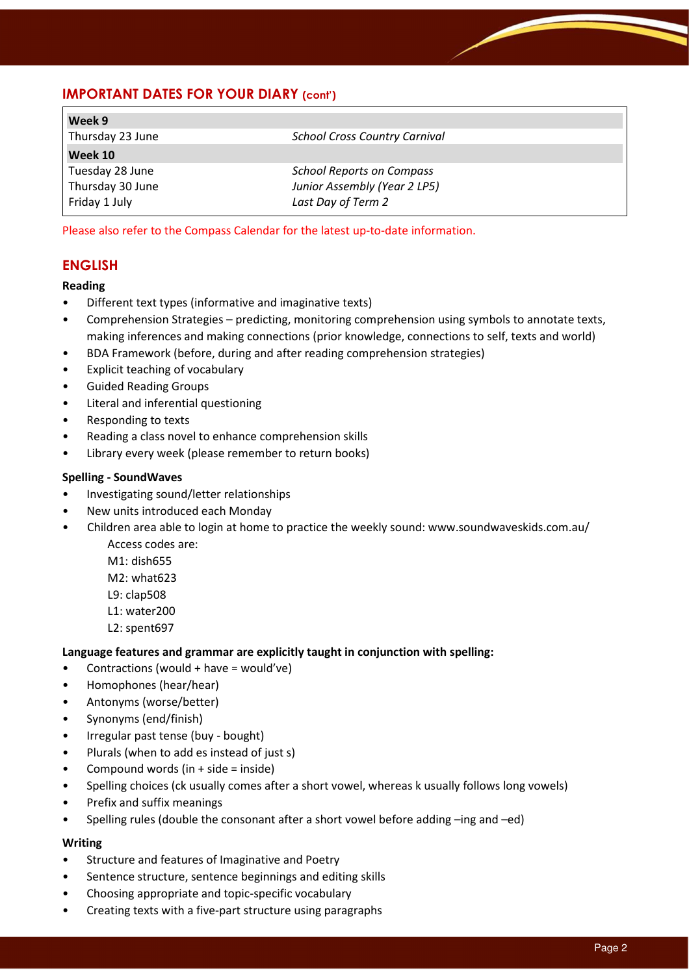# IMPORTANT DATES FOR YOUR DIARY (cont')

| Week 9           |                                      |  |
|------------------|--------------------------------------|--|
| Thursday 23 June | <b>School Cross Country Carnival</b> |  |
| Week 10          |                                      |  |
| Tuesday 28 June  | <b>School Reports on Compass</b>     |  |
| Thursday 30 June | Junior Assembly (Year 2 LP5)         |  |
| Friday 1 July    | Last Day of Term 2                   |  |

Please also refer to the Compass Calendar for the latest up-to-date information.

# ENGLISH

#### Reading

- Different text types (informative and imaginative texts)
- Comprehension Strategies predicting, monitoring comprehension using symbols to annotate texts, making inferences and making connections (prior knowledge, connections to self, texts and world)
- BDA Framework (before, during and after reading comprehension strategies)
- Explicit teaching of vocabulary
- Guided Reading Groups
- Literal and inferential questioning
- Responding to texts
- Reading a class novel to enhance comprehension skills
- Library every week (please remember to return books)

#### Spelling - SoundWaves

- Investigating sound/letter relationships
- New units introduced each Monday
- Children area able to login at home to practice the weekly sound: www.soundwaveskids.com.au/ Access codes are:
	- M1: dish655
	- M2: what623
	- L9: clap508
	-
	- L1: water200
	- L2: spent697

## Language features and grammar are explicitly taught in conjunction with spelling:

- Contractions (would + have = would've)
- Homophones (hear/hear)
- Antonyms (worse/better)
- Synonyms (end/finish)
- Irregular past tense (buy bought)
- Plurals (when to add es instead of just s)
- Compound words (in  $+$  side = inside)
- Spelling choices (ck usually comes after a short vowel, whereas k usually follows long vowels)
- Prefix and suffix meanings
- Spelling rules (double the consonant after a short vowel before adding –ing and –ed)

#### Writing

- Structure and features of Imaginative and Poetry
- Sentence structure, sentence beginnings and editing skills
- Choosing appropriate and topic-specific vocabulary
- Creating texts with a five-part structure using paragraphs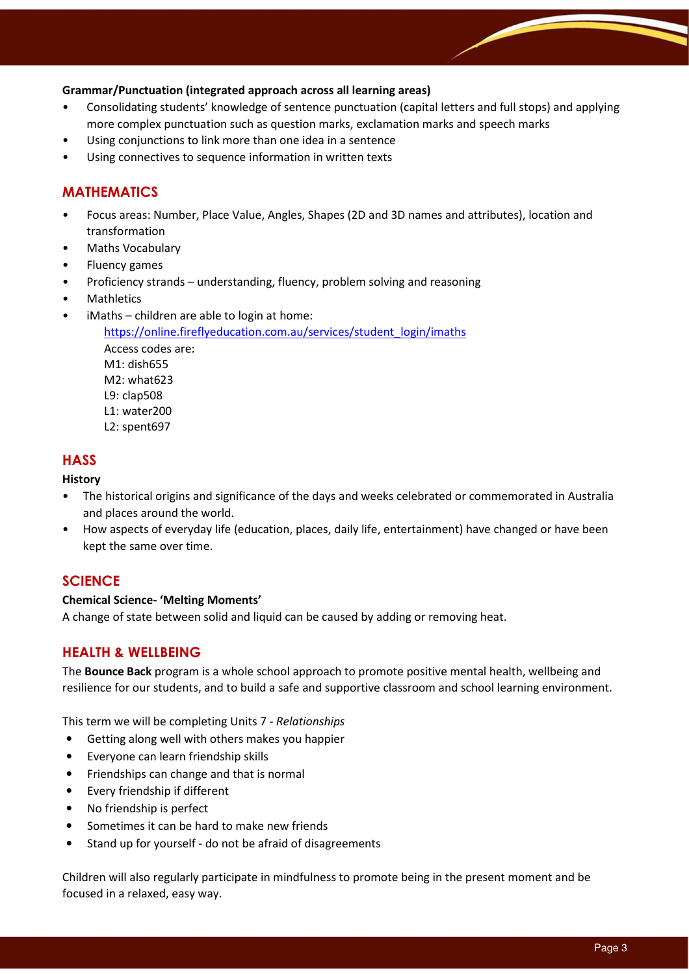## Grammar/Punctuation (integrated approach across all learning areas)

- Consolidating students' knowledge of sentence punctuation (capital letters and full stops) and applying more complex punctuation such as question marks, exclamation marks and speech marks
- Using conjunctions to link more than one idea in a sentence
- Using connectives to sequence information in written texts

# MATHEMATICS

- Focus areas: Number, Place Value, Angles, Shapes (2D and 3D names and attributes), location and transformation
- Maths Vocabulary
- Fluency games
- Proficiency strands understanding, fluency, problem solving and reasoning
- **Mathletics**
- iMaths children are able to login at home:

https://online.fireflyeducation.com.au/services/student\_login/imaths Access codes are: M1: dish655 M2: what623 L9: clap508 L1: water200 L2: spent697

## **HASS**

#### **History**

- The historical origins and significance of the days and weeks celebrated or commemorated in Australia and places around the world.
- How aspects of everyday life (education, places, daily life, entertainment) have changed or have been kept the same over time.

## **SCIENCE**

#### Chemical Science- 'Melting Moments'

A change of state between solid and liquid can be caused by adding or removing heat.

## HEALTH & WELLBEING

The **Bounce Back** program is a whole school approach to promote positive mental health, wellbeing and resilience for our students, and to build a safe and supportive classroom and school learning environment.

This term we will be completing Units 7 - Relationships

- Getting along well with others makes you happier
- Everyone can learn friendship skills
- Friendships can change and that is normal
- Every friendship if different
- No friendship is perfect
- Sometimes it can be hard to make new friends
- Stand up for yourself do not be afraid of disagreements

Children will also regularly participate in mindfulness to promote being in the present moment and be focused in a relaxed, easy way.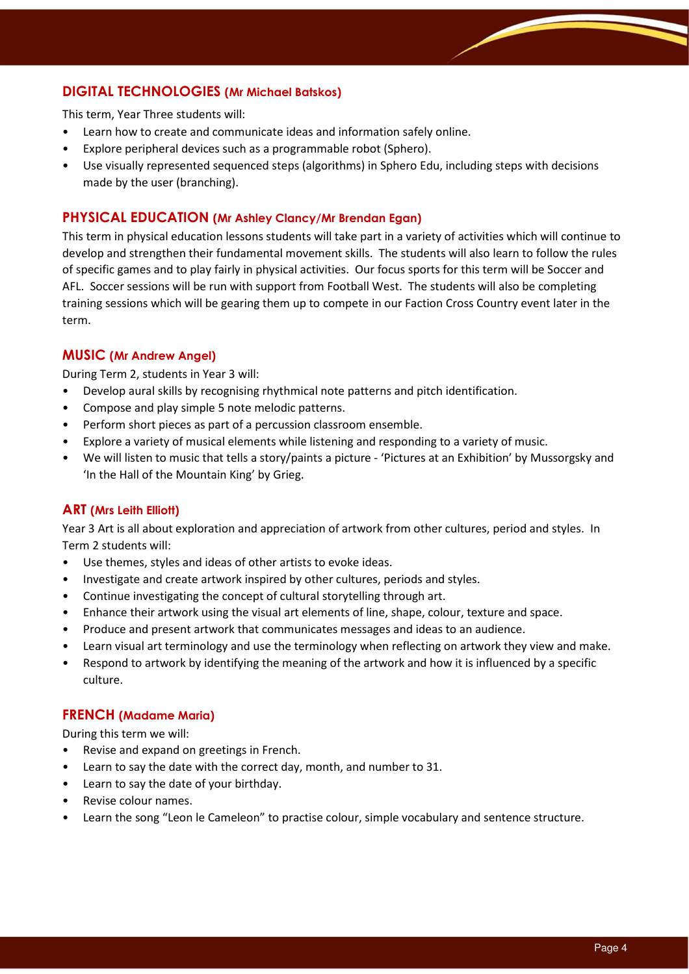# DIGITAL TECHNOLOGIES (Mr Michael Batskos)

This term, Year Three students will:

- Learn how to create and communicate ideas and information safely online.
- Explore peripheral devices such as a programmable robot (Sphero).
- Use visually represented sequenced steps (algorithms) in Sphero Edu, including steps with decisions made by the user (branching).

## PHYSICAL EDUCATION (Mr Ashley Clancy/Mr Brendan Egan)

This term in physical education lessons students will take part in a variety of activities which will continue to develop and strengthen their fundamental movement skills. The students will also learn to follow the rules of specific games and to play fairly in physical activities. Our focus sports for this term will be Soccer and AFL. Soccer sessions will be run with support from Football West. The students will also be completing training sessions which will be gearing them up to compete in our Faction Cross Country event later in the term.

## MUSIC (Mr Andrew Angel)

During Term 2, students in Year 3 will:

- Develop aural skills by recognising rhythmical note patterns and pitch identification.
- Compose and play simple 5 note melodic patterns.
- Perform short pieces as part of a percussion classroom ensemble.
- Explore a variety of musical elements while listening and responding to a variety of music.
- We will listen to music that tells a story/paints a picture 'Pictures at an Exhibition' by Mussorgsky and 'In the Hall of the Mountain King' by Grieg.

#### ART (Mrs Leith Elliott)

Year 3 Art is all about exploration and appreciation of artwork from other cultures, period and styles. In Term 2 students will:

- Use themes, styles and ideas of other artists to evoke ideas.
- Investigate and create artwork inspired by other cultures, periods and styles.
- Continue investigating the concept of cultural storytelling through art.
- Enhance their artwork using the visual art elements of line, shape, colour, texture and space.
- Produce and present artwork that communicates messages and ideas to an audience.
- Learn visual art terminology and use the terminology when reflecting on artwork they view and make.
- Respond to artwork by identifying the meaning of the artwork and how it is influenced by a specific culture.

#### FRENCH (Madame Maria)

During this term we will:

- Revise and expand on greetings in French.
- Learn to say the date with the correct day, month, and number to 31.
- Learn to say the date of your birthday.
- Revise colour names.
- Learn the song "Leon le Cameleon" to practise colour, simple vocabulary and sentence structure.